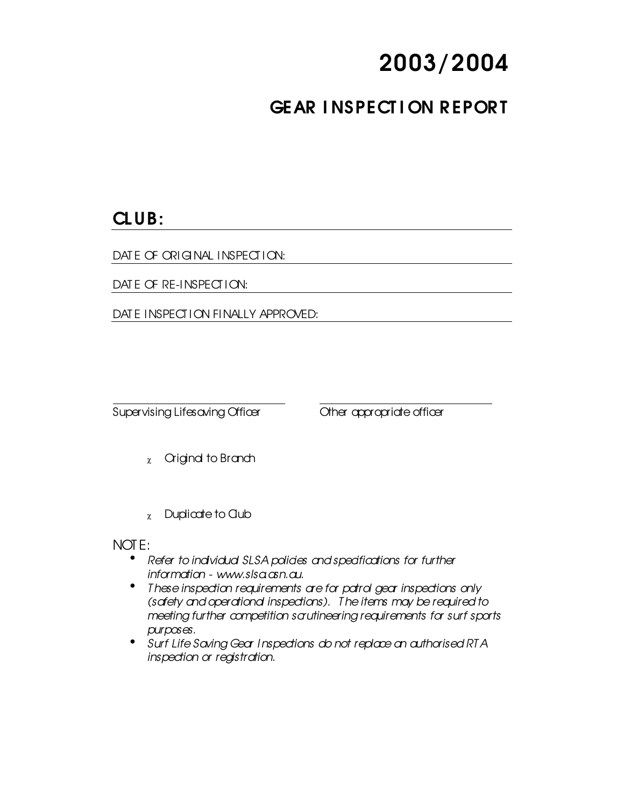# 2003/2004

## GEAR INSPECTION REPORT

### CLUB:

DATE OF ORIGINAL INSPECTION:

DATE OF RE-INSPECTION:

DATE INSPECTION FINALLY APPROVED:

Supervising Lifesaving Officer Cher appropriate officer

- $x$  Criginal to Branch
- $x$  Duplicate to Club

#### NOT E:

- Refer to individual SLSA policies and specifications for further *information - www.slsa.asn.au.*
- *T hese inspection requirements are for patrol gear inspections only (safety and operational inspections). T he items may be required to meeting further competition scrutineering requirements for surf sports purposes.*
- *Surf Life Saving Gear Inspections do not replace an authorised RT A inspection or registration.*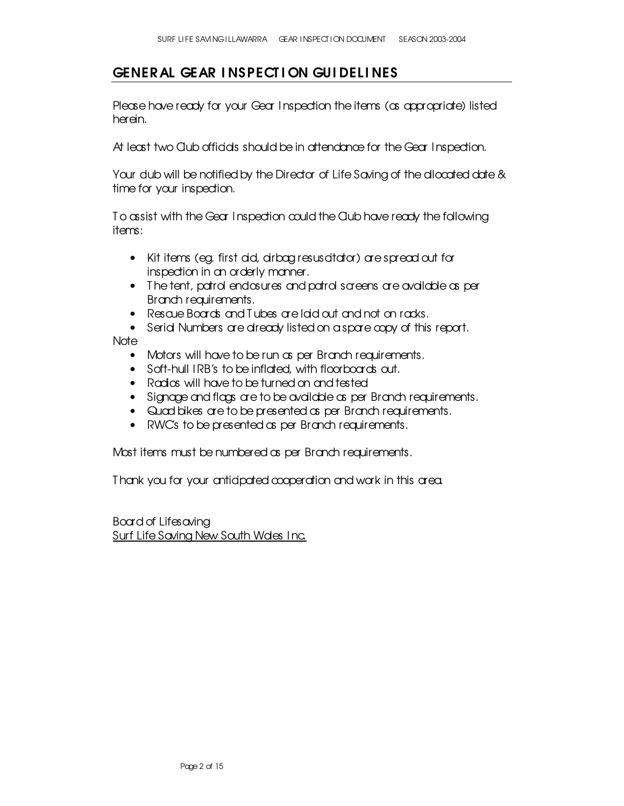#### GENERAL GEAR INSPECTION GUIDELINES

Please have ready for your Gear Inspection the items (as appropriate) listed herein.

At least two Qub officials should be in attendance for the Gear Inspection.

Your dub will be notified by the Director of Life Saving of the allocated date & time for your inspection.

To assist with the Gear Inspection could the Club have ready the following items:

- Kit items (eg. first aid, airbag resuscitator) are spread out for inspection in an orderly manner.
- The tent, patrol endosures and patrol screens are available as per Branch requirements.
- Rescue Boards and T ubes are laid out and not on racks.
- Serid Numbers are dready listed on a spare copy of this report.

Note

- Motors will have to be run as per Branch requirements.
- Soft-hull IRB's to be inflated, with floorboards out.
- Radios will have to be turned on and tested
- Signage and flags are to be available as per Branch requirements.
- Quad bikes are to be presented as per Branch requirements.
- RWC's to be presented as per Branch requirements.

Most items must be numbered as per Branch requirements.

T hank you for your anticipated cooperation and work in this area.

Board of Lifesaving Surf Life Saving New South Wales Inc.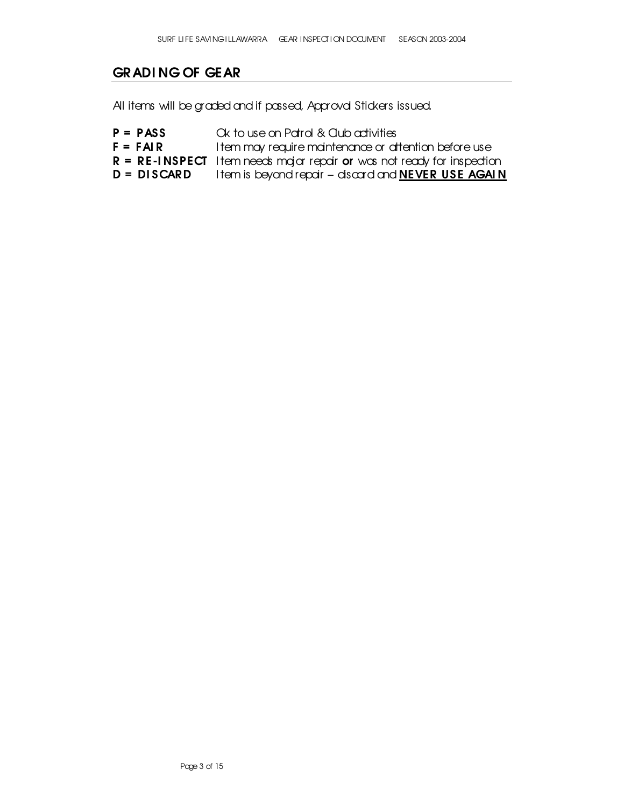#### GRADI NG OF GEAR

All items will be graded and if passed, Approval Stickers issued.

- $P = PASS$  Ck to use on Patrol & Club activities
- $F = F A I R$  Item may require maintenance or attention before use
- $R = RE$ -INSPECT Item needs major repair or was not ready for inspection
- $D = DISCARD$  Item is beyond repair discard and **NEVER USE AGAIN**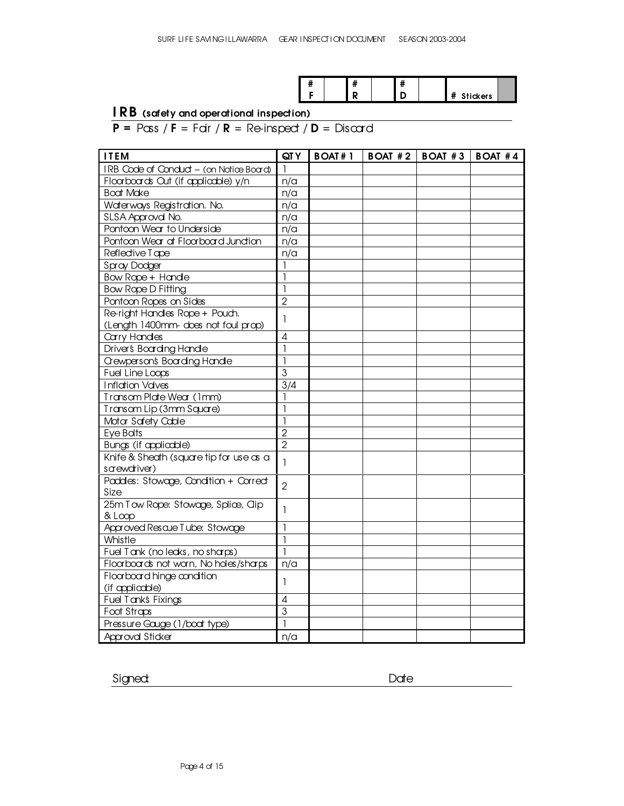|  |  | " |  |                                                  |  |
|--|--|---|--|--------------------------------------------------|--|
|  |  |   |  | $^{\circ}$ + $\frac{1}{2}$ deckers $\frac{1}{2}$ |  |

#### I RB (safety and operational inspection)

 $P = P\cos f F = F\sin f R = Re\sin \beta$   $D = Dis\alpha$ 

| <b>ITEM</b>                                             | QT Y             | $B$ OAT $#1$ | $\vert$ BOAT #2 $\vert$ BOAT #3 | BOAT #4 |
|---------------------------------------------------------|------------------|--------------|---------------------------------|---------|
| IRB Code of Conduct - (on Notice Board)                 |                  |              |                                 |         |
| Floorboards Out (if appliadale) y/n                     | n/a              |              |                                 |         |
| <b>Boat Make</b>                                        | n/a              |              |                                 |         |
| Waterways Registration. No.                             | n/a              |              |                                 |         |
| SLSA Approvd No.                                        | n/a              |              |                                 |         |
| Pontoon Wear to Underside                               | n/a              |              |                                 |         |
| Pontoon Wear at Floorboard Junction                     | n/a              |              |                                 |         |
| Reflective Tape                                         | n/a              |              |                                 |         |
| Spray Dodger                                            | 1                |              |                                 |         |
| Bow Rope + Hande                                        | ı                |              |                                 |         |
| <b>Bow Rope D Fitting</b>                               | J                |              |                                 |         |
| Pontoon Ropes on Sides                                  | $\overline{2}$   |              |                                 |         |
| Re-right Handles Rope + Pouch.                          | 1                |              |                                 |         |
| (Length 1400mm- does not foul prop)                     |                  |              |                                 |         |
| Carry Handes                                            | 4                |              |                                 |         |
| Driver's Boarding Handle                                | 1                |              |                                 |         |
| <b>Gewperson's Boarding Handle</b>                      | ı                |              |                                 |         |
| Fuel Line Loops                                         | 3                |              |                                 |         |
| <b>Inflation Valves</b>                                 | $\overline{3}/4$ |              |                                 |         |
| Transom Plate Wear (1mm)                                | 1                |              |                                 |         |
| Transom Lip (3mm Square)                                | 1                |              |                                 |         |
| Motor Safety Cable                                      | 1                |              |                                 |         |
| Eye Bolts                                               | $\overline{2}$   |              |                                 |         |
| <b>Bungs (if applicable)</b>                            | $\overline{2}$   |              |                                 |         |
| Knife & Sheath (square tip for use as a<br>sarewariver) | 1                |              |                                 |         |
| Paddes: Stowage, Condition + Correct                    |                  |              |                                 |         |
| Size                                                    | $\overline{2}$   |              |                                 |         |
| 25m Tow Rope: Stowage, Splice, Clip                     | 1                |              |                                 |         |
| & Loop<br>Approved Rescue Tube: Stowage                 | 1                |              |                                 |         |
| Whistle                                                 | ı                |              |                                 |         |
| Fuel Tank (no leaks, no sharps)                         | 1                |              |                                 |         |
| Floorboards not warn, No holes/sharps                   | n/a              |              |                                 |         |
| Floorboard hinge condition                              |                  |              |                                 |         |
| (if appliadale)                                         | 1                |              |                                 |         |
| Fuel Tank's Fixings                                     | 4                |              |                                 |         |
| Foot Straps                                             | 3                |              |                                 |         |
| Pressure Gauge (1/boat type)                            | $\overline{1}$   |              |                                 |         |
| Approval Sticker                                        | n/a              |              |                                 |         |

Signed: Date: Date: Date: Date: Date: Date: Date: Date: Date: Date: Date: Date: Date: Date: Date: Date: Date: Date: Date: Date: Date: Date: Date: Date: Date: Date: Date: Date: Date: Date: Date: Date: Date: Date: Date: Date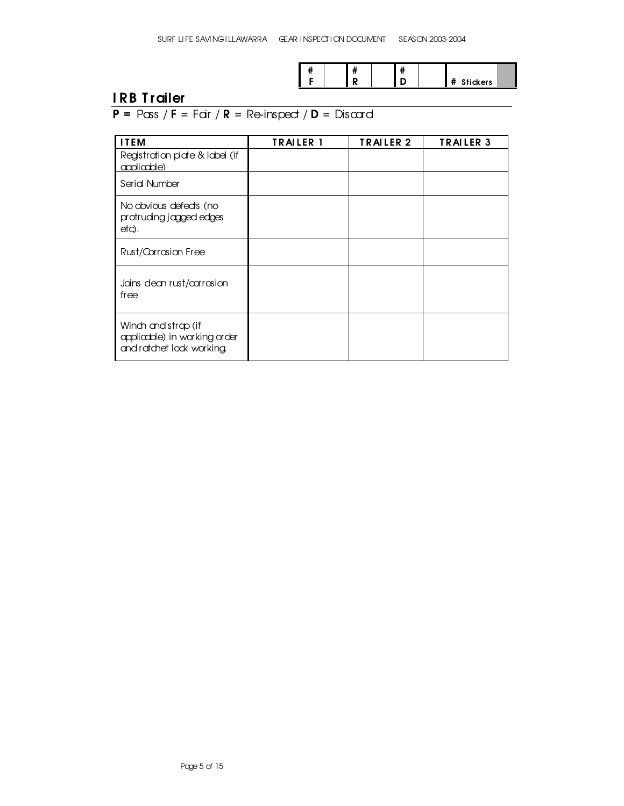| $\overline{\mathbf{r}}$<br>π |  |  |  |          |  |
|------------------------------|--|--|--|----------|--|
|                              |  |  |  | Stickers |  |

### I RB T railer

### $P = P \cos f$  F = Fair / R = Re-inspect / D = Discard

| <b>ITEM</b>                                                                      | <b>TRAILER 1</b> | TRAILER <sub>2</sub> | <b>TRAILER 3</b> |
|----------------------------------------------------------------------------------|------------------|----------------------|------------------|
| Registration plate & Iddel (if<br>applicable)                                    |                  |                      |                  |
| Serid Number                                                                     |                  |                      |                  |
| No obvious defects (no<br>protruding jagged edges<br>etc).                       |                  |                      |                  |
| Rust/Corrosion Free                                                              |                  |                      |                  |
| Jains dean rust/corrosion<br>free                                                |                  |                      |                  |
| Winch and strap (if<br>applicable) in working order<br>and ratchet lock working. |                  |                      |                  |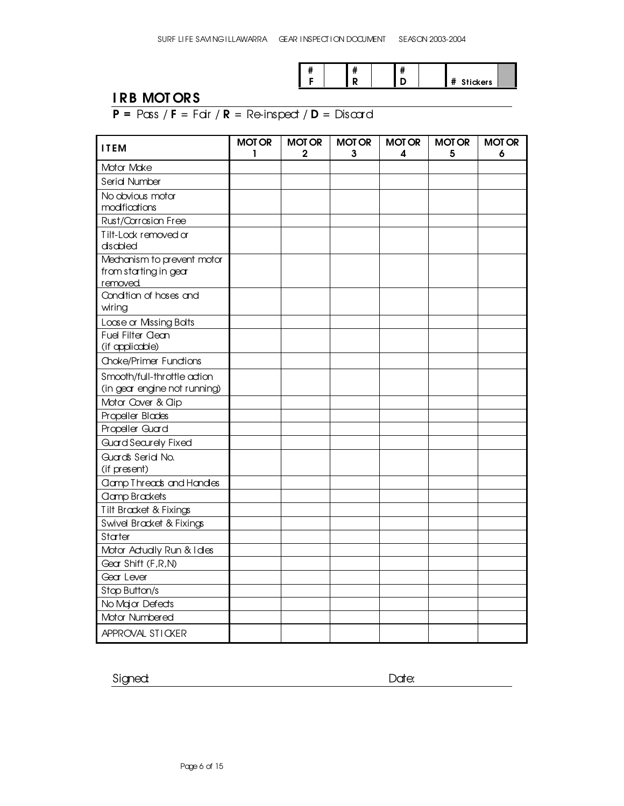|  | " | <br> |                          |  |
|--|---|------|--------------------------|--|
|  |   |      | <br><b>Stickers</b><br>π |  |

### I RB MOT OR S

### $P = P \cos / F = F \sin / R = Re-$ inspect  $\sqrt{D} = Dis \cos \theta$

| <b>ITEM</b>                                                     | <b>MOT OR</b><br>ı | <b>MOT OR</b><br>2 | <b>MOT OR</b><br>3 | <b>MOT OR</b><br>4 | <b>MOT OR</b><br>5 | <b>MOT OR</b><br>6 |
|-----------------------------------------------------------------|--------------------|--------------------|--------------------|--------------------|--------------------|--------------------|
| Motor Moke                                                      |                    |                    |                    |                    |                    |                    |
| Serid Number                                                    |                    |                    |                    |                    |                    |                    |
| No obvious motor<br>modifications                               |                    |                    |                    |                    |                    |                    |
| Rust/Corrosion Free                                             |                    |                    |                    |                    |                    |                    |
| Tilt-Lock removed or<br>disabled                                |                    |                    |                    |                    |                    |                    |
| Mechanism to prevent motor<br>from starting in gear<br>removed. |                    |                    |                    |                    |                    |                    |
| Condition of hoses and<br>wiring                                |                    |                    |                    |                    |                    |                    |
| Loose or Missing Bolts                                          |                    |                    |                    |                    |                    |                    |
| Fuel Filter Clean<br>(if appliadale)                            |                    |                    |                    |                    |                    |                    |
| Choke/Primer Functions                                          |                    |                    |                    |                    |                    |                    |
| Smooth/full-throttle action<br>(in gear engine not running)     |                    |                    |                    |                    |                    |                    |
| Motor Cover & Clip                                              |                    |                    |                    |                    |                    |                    |
| Propeller Blades                                                |                    |                    |                    |                    |                    |                    |
| Propeller Guard                                                 |                    |                    |                    |                    |                    |                    |
| <b>Guard Securely Fixed</b>                                     |                    |                    |                    |                    |                    |                    |
| Guard's Serid No.<br>(if present)                               |                    |                    |                    |                    |                    |                    |
| <b>amp Threads and Handles</b>                                  |                    |                    |                    |                    |                    |                    |
| <b>Clamp Brackets</b>                                           |                    |                    |                    |                    |                    |                    |
| Tilt Bracket & Fixings                                          |                    |                    |                    |                    |                    |                    |
| Swivel Bracket & Fixings                                        |                    |                    |                    |                    |                    |                    |
| Stater                                                          |                    |                    |                    |                    |                    |                    |
| Motor Actually Run & I des                                      |                    |                    |                    |                    |                    |                    |
| Gear Shift (F, R, N)                                            |                    |                    |                    |                    |                    |                    |
| Gear Lever                                                      |                    |                    |                    |                    |                    |                    |
| Stop Button/s                                                   |                    |                    |                    |                    |                    |                    |
| No Major Defects                                                |                    |                    |                    |                    |                    |                    |
| Motor Numbered                                                  |                    |                    |                    |                    |                    |                    |
| APPROVAL STICKER                                                |                    |                    |                    |                    |                    |                    |

Signed: Date: Date: Date: Date: Date: Date: Date: Date: Date: Date: Date: Date: Date: Date: Date: Date: Date: Date: Date: Date: Date: Date: Date: Date: Date: Date: Date: Date: Date: Date: Date: Date: Date: Date: Date: Date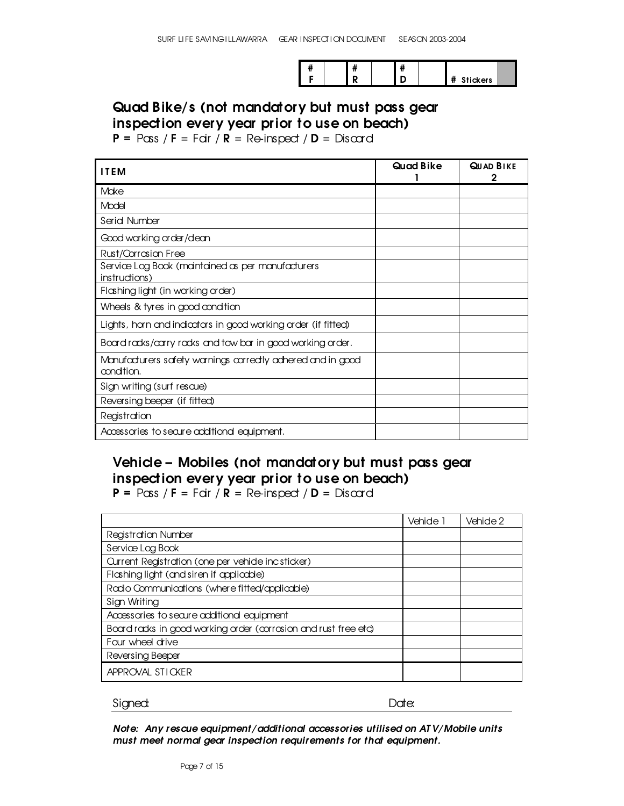|  |  |  | $\bullet$<br><b>Stickers</b> |  |
|--|--|--|------------------------------|--|

#### Quad Bike/s (not mandatory but must pass gear inspection every year prior to use on beach)

 $P = P \cos / F = F \sin / R = Re \text{inspect} / D = Dis \text{card}$ 

| <b>ITEM</b>                                                               | Quad Bike | <b>QUAD BIKE</b> |
|---------------------------------------------------------------------------|-----------|------------------|
| Make                                                                      |           |                  |
| Model                                                                     |           |                  |
| Serid Number                                                              |           |                  |
| Good working order/dean                                                   |           |                  |
| Rust/Corrosion Free                                                       |           |                  |
| Service Log Book (maintained as per manufacturers<br>instructions)        |           |                  |
| Flashing light (in working order)                                         |           |                  |
| Wheels & tyres in good condition                                          |           |                  |
| Lights, harn and indicators in good working order (if fitted)             |           |                  |
| Board racks/carry racks and tow bar in good working order.                |           |                  |
| Manufacturers safety warnings correctly adhered and in good<br>condition. |           |                  |
| Sign writing (surf rescue)                                                |           |                  |
| Reversing beeper (if fitted)                                              |           |                  |
| Registration                                                              |           |                  |
| Accessories to secure additional equipment.                               |           |                  |

### Vehicle - Mobiles (not mandatory but must pass gear inspection every year prior to use on beach)

 $P = P \cos / F = F \sin / R = Re \text{inspect} / D = Dis \text{card}$ 

|                                                                 | Vehide 1 | Vehide 2 |
|-----------------------------------------------------------------|----------|----------|
| <b>Registration Number</b>                                      |          |          |
| Service Log Book                                                |          |          |
| Current Registration (one per vehide incsticker)                |          |          |
| Flashing light (and siren if applicable)                        |          |          |
| Radio Communications (where fitted/applicable)                  |          |          |
| Sign Writing                                                    |          |          |
| Accessories to secure additional equipment                      |          |          |
| Board racks in good warking arder (corrasion and rust free etc) |          |          |
| Four wheel drive                                                |          |          |
| Reversing Beeper                                                |          |          |
| APPROVAL STICKER                                                |          |          |

Signed: Executive Contract of the Date: Date: Date: Date: Date: Date: Date: Date: Date: Date: Date:  $\sim$  Date:  $\sim$  Date:  $\sim$  Date:  $\sim$  Date:  $\sim$  Date:  $\sim$  Date:  $\sim$  Date:  $\sim$  Date:  $\sim$  Date:  $\sim$  Date:  $\sim$  Date:

*Note: Any rescue equipment/additional accessories utilised on AT V/Mobile unit s must meet normal gear inspection requirement s for that equipment.*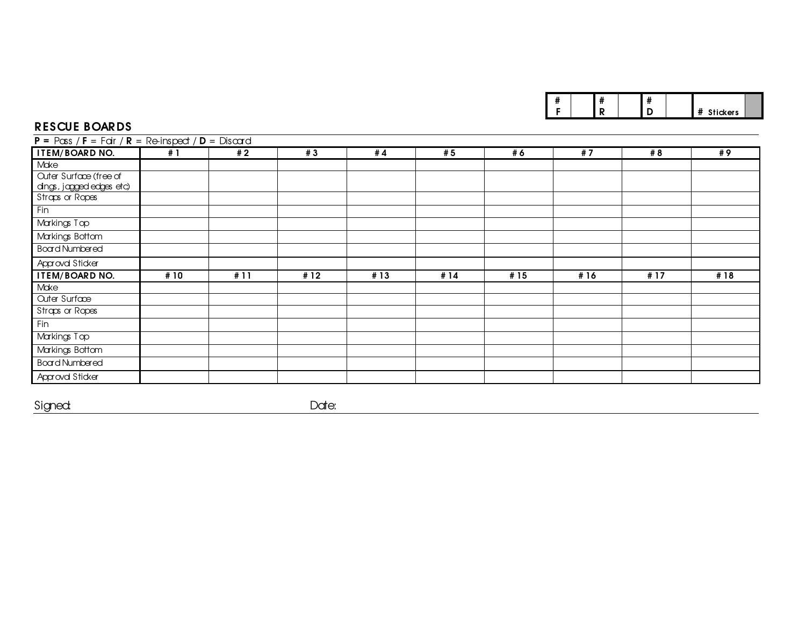|  | ., | ш |  |                        |  |
|--|----|---|--|------------------------|--|
|  |    |   |  | $\cdot$ + $\cdot$ ders |  |

#### RES CUE B OA R D S

| $P = P \cos / F = F \sin / R = Re \text{inspect} / D = Dis \text{card}$ |      |      |      |      |      |      |      |     |     |  |  |
|-------------------------------------------------------------------------|------|------|------|------|------|------|------|-----|-----|--|--|
| ITEM/BOARD NO.                                                          | # 1  | # 2  | #3   | #4   | #5   | #6   | #7   | # 8 | # 9 |  |  |
| Moke                                                                    |      |      |      |      |      |      |      |     |     |  |  |
| <b>Cuter Surface (free of</b>                                           |      |      |      |      |      |      |      |     |     |  |  |
| dings, jagged edges etc)                                                |      |      |      |      |      |      |      |     |     |  |  |
| Straps or Ropes                                                         |      |      |      |      |      |      |      |     |     |  |  |
| Fin                                                                     |      |      |      |      |      |      |      |     |     |  |  |
| Markings Top                                                            |      |      |      |      |      |      |      |     |     |  |  |
| Markings Bottom                                                         |      |      |      |      |      |      |      |     |     |  |  |
| <b>Board Numbered</b>                                                   |      |      |      |      |      |      |      |     |     |  |  |
| Approval Sticker                                                        |      |      |      |      |      |      |      |     |     |  |  |
| <b>ITEM/BOARD NO.</b>                                                   | # 10 | # 11 | # 12 | # 13 | # 14 | # 15 | # 16 | #17 | #18 |  |  |
| Make                                                                    |      |      |      |      |      |      |      |     |     |  |  |
| <b>Cuter Surface</b>                                                    |      |      |      |      |      |      |      |     |     |  |  |
| Straps or Ropes                                                         |      |      |      |      |      |      |      |     |     |  |  |
| Fin                                                                     |      |      |      |      |      |      |      |     |     |  |  |
| Markings Top                                                            |      |      |      |      |      |      |      |     |     |  |  |
| Markings Bottom                                                         |      |      |      |      |      |      |      |     |     |  |  |
| <b>Board Numbered</b>                                                   |      |      |      |      |      |      |      |     |     |  |  |
| Approval Sticker                                                        |      |      |      |      |      |      |      |     |     |  |  |

Signed: t de la provincia de la provincia de la provincia de la provincia de la provincia de la provincia de la provincia<br>En la provincia de la provincia de la provincia de la provincia de la provincia de la provincia de la provin

Date: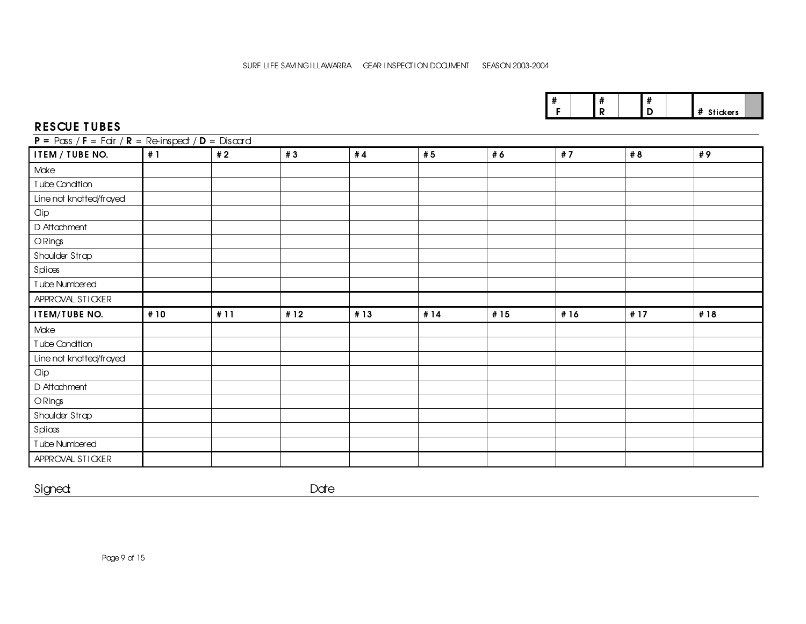|  |  |  | $\bullet$<br>ckers |  |
|--|--|--|--------------------|--|

#### RESCUE T UBES

| $P = P\cos f = F\sin f$ $R = Re\sin\phi$ $D = Dis\cos\phi$ |      |     |      |     |     |     |     |     |     |
|------------------------------------------------------------|------|-----|------|-----|-----|-----|-----|-----|-----|
| <b>ITEM / TUBE NO.</b>                                     | #1   | #2  | #3   | #4  | # 5 | #6  | #7  | # 8 | #9  |
| Make                                                       |      |     |      |     |     |     |     |     |     |
| Tube Condition                                             |      |     |      |     |     |     |     |     |     |
| Line not knotted/frayed                                    |      |     |      |     |     |     |     |     |     |
| Clip                                                       |      |     |      |     |     |     |     |     |     |
| D Attachment                                               |      |     |      |     |     |     |     |     |     |
| ORings                                                     |      |     |      |     |     |     |     |     |     |
| Shoulder Strap                                             |      |     |      |     |     |     |     |     |     |
| Splices                                                    |      |     |      |     |     |     |     |     |     |
| Tube Numbered                                              |      |     |      |     |     |     |     |     |     |
| APPROVAL STICKER                                           |      |     |      |     |     |     |     |     |     |
| <b>ITEM/TUBE NO.</b>                                       | # 10 | #11 | # 12 | #13 | #14 | #15 | #16 | #17 | #18 |
| Make                                                       |      |     |      |     |     |     |     |     |     |
| Tube Condition                                             |      |     |      |     |     |     |     |     |     |
| Line not knotted/frayed                                    |      |     |      |     |     |     |     |     |     |
| <b>Clip</b>                                                |      |     |      |     |     |     |     |     |     |
| D Attachment                                               |      |     |      |     |     |     |     |     |     |
| ORings                                                     |      |     |      |     |     |     |     |     |     |
| Shoulder Strap                                             |      |     |      |     |     |     |     |     |     |
| Splices                                                    |      |     |      |     |     |     |     |     |     |
| Tube Numbered                                              |      |     |      |     |     |     |     |     |     |
| APPROVAL STICKER                                           |      |     |      |     |     |     |     |     |     |

Signed: **Date**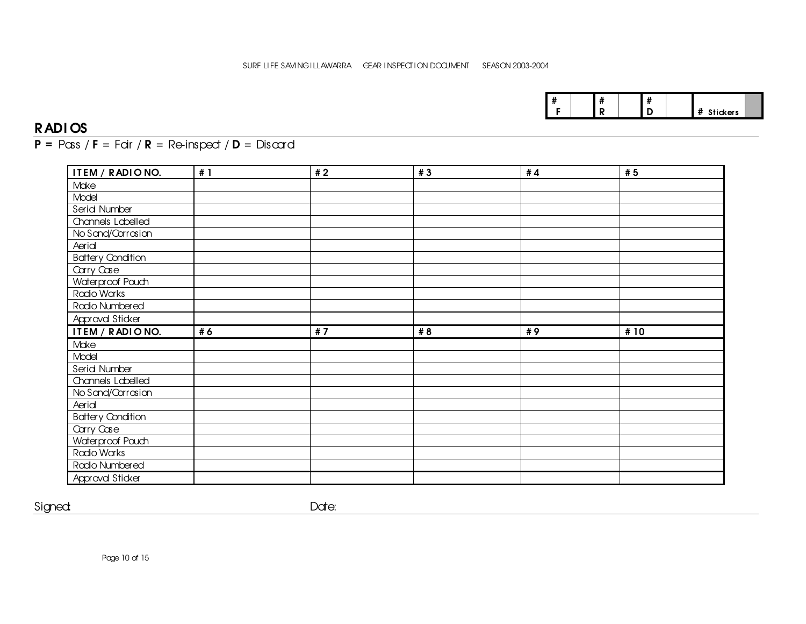| er s |
|------|
|------|

#### RADI OS

 $P = P \cos f$   $F = F \sin f$   $R = Re$ -inspect  $/D = Dis \text{card }$ 

| ITEM / RADIONO.                    | #1 | #2 | #3  | # $4$ | #5  |
|------------------------------------|----|----|-----|-------|-----|
| Make                               |    |    |     |       |     |
| Model                              |    |    |     |       |     |
| Serid Number                       |    |    |     |       |     |
| Channels Labelled                  |    |    |     |       |     |
| No Sand/Carrasian                  |    |    |     |       |     |
| Aerid                              |    |    |     |       |     |
| <b>Battery Condition</b>           |    |    |     |       |     |
| Carry Case                         |    |    |     |       |     |
| Waterproof Pouch                   |    |    |     |       |     |
| Radio Works                        |    |    |     |       |     |
| Radio Numbered                     |    |    |     |       |     |
| Approval Sticker                   |    |    |     |       |     |
|                                    |    |    |     |       |     |
| ITEM / RADIONO.                    | #6 | #7 | # 8 | #9    | #10 |
| Make                               |    |    |     |       |     |
| Model                              |    |    |     |       |     |
| Serid Number                       |    |    |     |       |     |
| Channels Labelled                  |    |    |     |       |     |
| No Sand/Corrosion                  |    |    |     |       |     |
| Aerid                              |    |    |     |       |     |
| <b>Battery Condition</b>           |    |    |     |       |     |
| Carry Case                         |    |    |     |       |     |
| Waterproof Pouch                   |    |    |     |       |     |
| Radio Works                        |    |    |     |       |     |
| Radio Numbered<br>Approval Sticker |    |    |     |       |     |

Signed: **Date:** Date: **Date: Product 2012**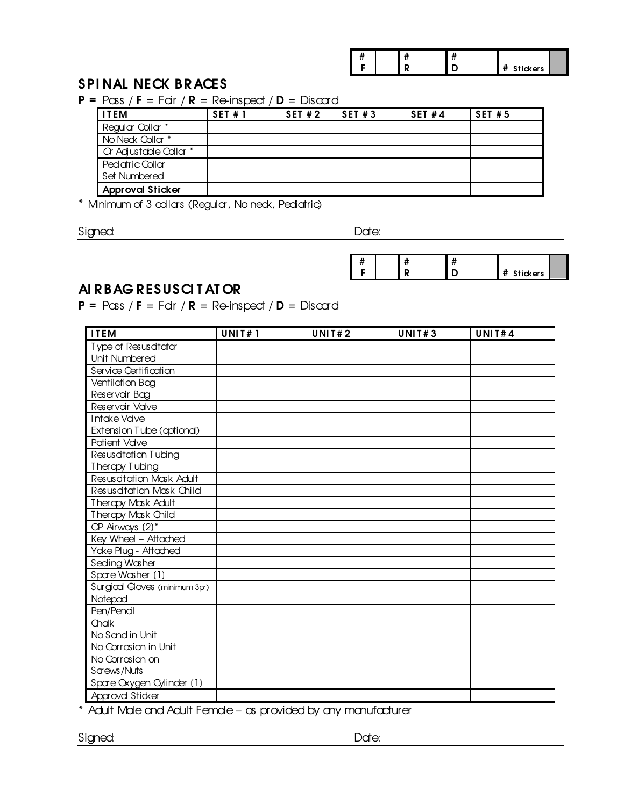|  |  |  | "<br>Stickers<br>Ħ |  |
|--|--|--|--------------------|--|

#### SPINAL NECK BRACES

| <b>ITEM</b>             | SET#1 | $P = P \cos / F = F \sin / R = Re \text{inspect} / D = Dis \text{card}$<br>SET#2 | SET#3 | <b>SET #4</b> | <b>SET #5</b> |
|-------------------------|-------|----------------------------------------------------------------------------------|-------|---------------|---------------|
| Regular Collar *        |       |                                                                                  |       |               |               |
| No Neck Callar $*$      |       |                                                                                  |       |               |               |
| Or Adjustable Collar *  |       |                                                                                  |       |               |               |
| Pediatric Collar        |       |                                                                                  |       |               |               |
| Set Numbered            |       |                                                                                  |       |               |               |
| <b>Approval Sticker</b> |       |                                                                                  |       |               |               |

\* Minimum of 3 collars (Regular, No neck, Pediatric)

Signed: **Date:** Date: **Date:** Date: **Date:** 

# F # R # # Stickers

### AI R BAG R ESUSCI T AT OR

 $P = P \cos / F = F \text{cir} / R = Re \text{-} \text{inspect} / D = Dis \text{card}$ 

| <b>ITEM</b>                  | <b>UNIT#1</b> | <b>UNIT#2</b> | <b>UNIT#3</b> | <b>UNIT#4</b> |
|------------------------------|---------------|---------------|---------------|---------------|
| Type of Resuscitator         |               |               |               |               |
| Unit Numbered                |               |               |               |               |
| Service Certification        |               |               |               |               |
| Ventilation Bag              |               |               |               |               |
| Reservoir Bag                |               |               |               |               |
| Reservoir Valve              |               |               |               |               |
| Intoke Valve                 |               |               |               |               |
| Extension Tube (optiona)     |               |               |               |               |
| <b>Patient Valve</b>         |               |               |               |               |
| Resuscitation Tubing         |               |               |               |               |
| Therapy Tubing               |               |               |               |               |
| Resuscitation Mask Adult     |               |               |               |               |
| Resuscitation Mask Child     |               |               |               |               |
| Therapy Mask Adult           |               |               |               |               |
| Therapy Mask Child           |               |               |               |               |
| OP Airways (2)*              |               |               |               |               |
| Key Wheel - Attached         |               |               |               |               |
| Yoke Plug - Attached         |               |               |               |               |
| Seding Washer                |               |               |               |               |
| Spare Washer (1)             |               |               |               |               |
| Surgical Goves (minimum 3pr) |               |               |               |               |
| Notepad                      |               |               |               |               |
| Pen/Pendl                    |               |               |               |               |
| Chalk                        |               |               |               |               |
| No Sand in Unit              |               |               |               |               |
| No Corrosion in Unit         |               |               |               |               |
| No Corrosion on              |               |               |               |               |
| Sarews/Nuts                  |               |               |               |               |
| Spare Oxygen Cylinder (1)    |               |               |               |               |
| Approval Sticker             |               |               |               |               |

\* Adult Male and Adult Female – as provided by any manufacturer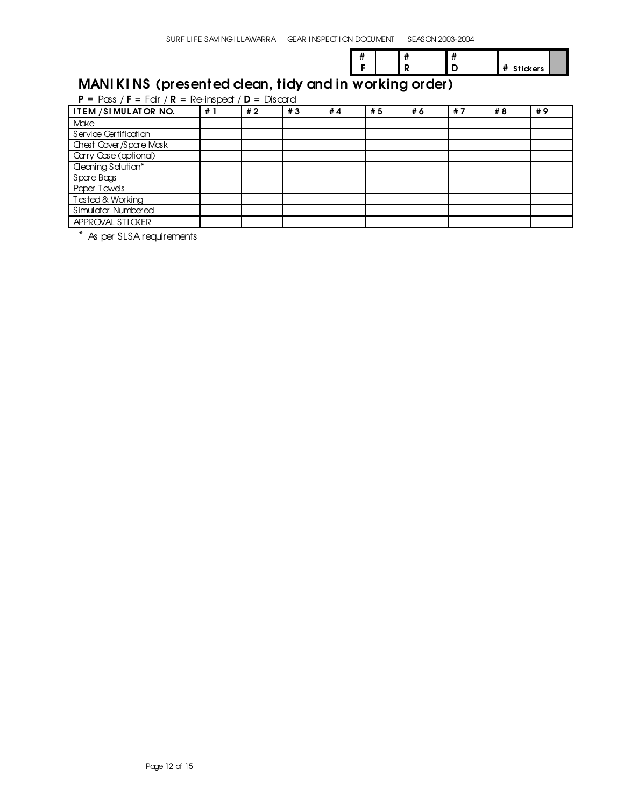# F # R #

# Stickers

### MANI KINS (presented clean, tidy and in working order)

| $P = P \cos / F = F \sin / R = Re \text{in speed } / D = Dis \text{card}$ |    |    |    |    |    |    |    |     |    |
|---------------------------------------------------------------------------|----|----|----|----|----|----|----|-----|----|
| ITEM / SIMULATOR NO.                                                      | #1 | #2 | #3 | #4 | #5 | #6 | #7 | # 8 | #9 |
| Make                                                                      |    |    |    |    |    |    |    |     |    |
| Service Certification                                                     |    |    |    |    |    |    |    |     |    |
| Chest Cover/Spare Mask                                                    |    |    |    |    |    |    |    |     |    |
| Carry Case (optional)                                                     |    |    |    |    |    |    |    |     |    |
| <b>Geoning Solution*</b>                                                  |    |    |    |    |    |    |    |     |    |
| Spare Bags                                                                |    |    |    |    |    |    |    |     |    |
| Paper Towels                                                              |    |    |    |    |    |    |    |     |    |
| Tested & Working                                                          |    |    |    |    |    |    |    |     |    |
| Simulator Numbered                                                        |    |    |    |    |    |    |    |     |    |
| APPROVAL STICKER                                                          |    |    |    |    |    |    |    |     |    |

\* As per SLSA requirements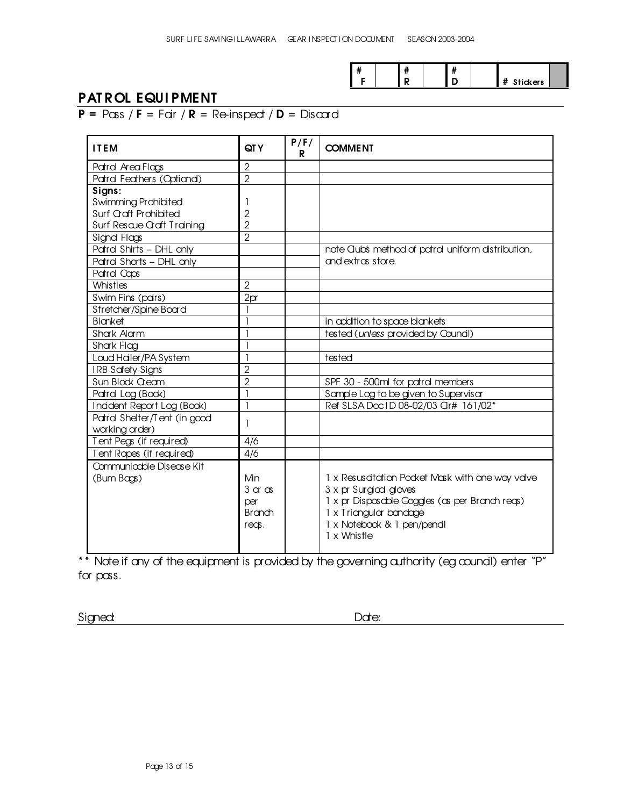|  | <br> |  |                     |  |
|--|------|--|---------------------|--|
|  |      |  | <br><b>Stickers</b> |  |

#### PAT ROL EQUIPMENT

 $P = P \cos f$  F = Fair / R = Re-inspect / D = Discard

| <b>ITEM</b>                  | QT Y                      | P/F/<br>R | <b>COMMENT</b>                                     |
|------------------------------|---------------------------|-----------|----------------------------------------------------|
| Patrol Area Flags            | $\overline{2}$            |           |                                                    |
| Patrol Feathers (Optional)   | $\overline{2}$            |           |                                                    |
| Signs:                       |                           |           |                                                    |
| <b>Swimming Prohibited</b>   |                           |           |                                                    |
| Surf Craft Prohibited        | $\overline{2}$            |           |                                                    |
| Surf Rescue Craft Training   | $\overline{2}$            |           |                                                    |
| Signd Flags                  | $\overline{2}$            |           |                                                    |
| Patrol Shirts - DHL only     |                           |           | note Club's method of patrol uniform distribution, |
| Patrol Shorts - DHL only     |                           |           | and extras store.                                  |
| Patrol Caps                  |                           |           |                                                    |
| Whistles                     | $\overline{2}$            |           |                                                    |
| Swim Fins (pars)             | 2 <sub>pr</sub>           |           |                                                    |
| Stretcher/Spine Board        |                           |           |                                                    |
| Blanket                      |                           |           | in addition to space blankets                      |
| Shark Alarm                  |                           |           | tested (unless provided by Council)                |
| Shark Flag                   |                           |           |                                                    |
| Loud Hailer/PA System        |                           |           | tested                                             |
| <b>IRB Safety Signs</b>      | $\overline{2}$            |           |                                                    |
| Sun Block Cream              | $\overline{2}$            |           | SPF 30 - 500ml for patrol members                  |
| Patrol Log (Book)            |                           |           | Sample Log to be given to Supervisor               |
| Incident Report Log (Book)   | ı                         |           | Ref SLSA Doc ID 08-02/03 Cir# 161/02*              |
| Patrol Shelter/Tent (in good |                           |           |                                                    |
| working order)               |                           |           |                                                    |
| Tent Pegs (if required)      | 4/6                       |           |                                                    |
| Tent Ropes (if required)     | 4/6                       |           |                                                    |
| Communicable Disease Kit     |                           |           |                                                    |
| (Bum Bags)                   | Mn                        |           | 1 x Resuscitation Pocket Mask with one way valve   |
|                              | $3 \text{ or } \text{cs}$ |           | 3 x pr Surgical gloves                             |
|                              | per                       |           | 1 x pr Disposable Goggles (as per Branch reas)     |
|                              | <b>Branch</b>             |           | 1 x Triangular bandage                             |
|                              | $r \in \infty$ .          |           | 1 x Notebook & 1 pen/pendl                         |
|                              |                           |           | 1 x Whistle                                        |
|                              |                           |           |                                                    |

\*\* Note if any of the equipment is provided by the governing authority (eg council) enter "P" for pass.

Signed: **Date:** Date: **Date:** Date: **Date:**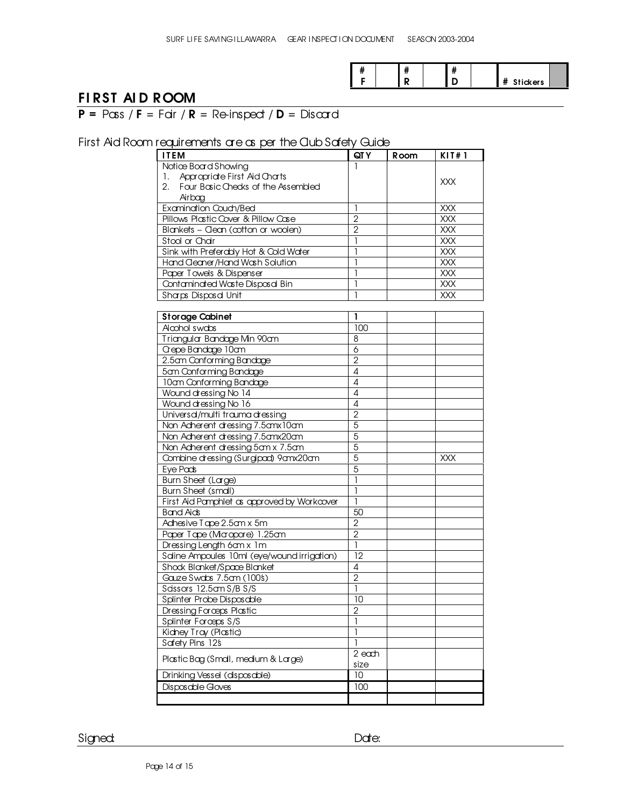|  |  | $\mathbf{u}$<br> |                      |  |
|--|--|------------------|----------------------|--|
|  |  |                  | п<br><b>Stickers</b> |  |

#### FI RST AI D R OOM

 $P = P \cos f$  F = Fair / R = Re-inspect / D = Discard

#### First Aid Room requirements are as per the Club Safety Guide

| <b>ITEM</b>                                 | QT Y                | <b>Room</b> | KIT#1      |
|---------------------------------------------|---------------------|-------------|------------|
| Notice Board Showing                        | 1                   |             |            |
| Appropriate First Aid Charts<br>1.          |                     |             |            |
| Four Basic Checks of the Assembled<br>2.    |                     |             | XXX        |
| Airbag                                      |                     |             |            |
| Examination Couch/Bed                       | 1                   |             | XXX        |
| Pillows Plastic Cover & Pillow Case         | $\overline{2}$      |             | <b>XXX</b> |
| Blankets - Clean (cotton or woolen)         | $\overline{2}$      |             | <b>XXX</b> |
| Stool or Chair                              | 1                   |             | XXX        |
| Sink with Preferably Hot & Cold Water       | 1                   |             | XXX        |
| Hand Geaner/Hand Wash Solution              | 1                   |             | XXX        |
| Paper Towels & Dispenser                    | 1                   |             | XXX        |
| Contaminated Waste Dispasal Bin             | 1                   |             | XXX        |
| Sharps Disposal Unit                        | 1                   |             | <b>XXX</b> |
|                                             |                     |             |            |
| <b>Storage Cabinet</b>                      | 1                   |             |            |
| Alcohol swabs                               | 100                 |             |            |
| Triangular Bandage Min 90am                 | 8                   |             |            |
| Crepe Bandage 10am                          | 6                   |             |            |
| 2.5 cm Conforming Bandage                   | $\overline{2}$      |             |            |
| 5am Conforming Bandage                      | 4                   |             |            |
| 10am Conforming Bandage                     | 4                   |             |            |
| Wound dressing No 14                        | 4                   |             |            |
|                                             |                     |             |            |
| Wound dressing No 16                        | 4<br>$\overline{2}$ |             |            |
| Universal/multi trauma dressing             |                     |             |            |
| Non Adherent dressing 7.5amx10am            | 5                   |             |            |
| Non Acherent cressing 7.5 cmx 20 cm         | $\overline{5}$      |             |            |
| Non Acherent dressing 5cm x 7.5cm           | 5                   |             |            |
| Combine dressing (Surgipad) 9 anx 20 an     | 5                   |             | XXX        |
| Eye Pads                                    | 5                   |             |            |
| Burn Sheet (Large)                          | 1                   |             |            |
| Burn Sheet (smdl)                           | 1                   |             |            |
| First Aid Pamphlet as approved by Workcover | 1                   |             |            |
| <b>Band Aids</b>                            | 50                  |             |            |
| Adhesive Tape 2.5am x 5m                    | $\overline{2}$      |             |            |
| Paper Tape (Micropore) 1.25cm               | $\overline{2}$      |             |            |
| Dressing Length 6am x 1m                    | 1                   |             |            |
| Saline Ampoules 10ml (eye/wound irrigation) | 12                  |             |            |
| Shock Blanket/Space Blanket                 | 4                   |             |            |
| Gauze Swdos 7.5cm (100\$)                   | $\overline{2}$      |             |            |
| Sassors 12.5cm S/B S/S                      | $\mathbf{1}$        |             |            |
| Splinter Probe Disposable                   | 10                  |             |            |
| Dressing Forceps Plastic                    | $\overline{2}$      |             |            |
| Splinter Forceps S/S                        | 1                   |             |            |
| Kidney Tray (Plastic)                       | 1                   |             |            |
| Safety Pins 12\$                            | 1                   |             |            |
| Plastic Bag (Small, medium & Large)         | 2 each              |             |            |
|                                             | size                |             |            |
| Drinking Vessel (disposable)                | 10                  |             |            |
| Disposable Gloves                           | 100                 |             |            |
|                                             |                     |             |            |

Signed: **Date:** Date: **Date:** Date: **Date:**